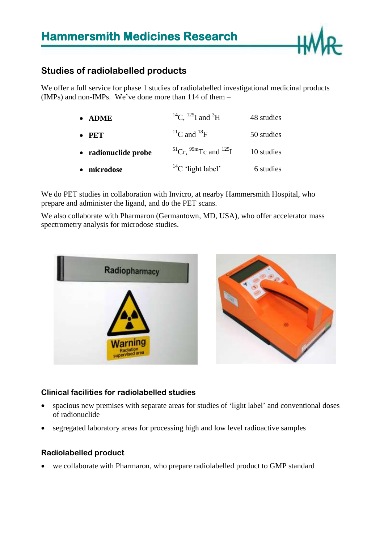

### **Studies of radiolabelled products**

We offer a full service for phase 1 studies of radiolabelled investigational medicinal products (IMPs) and non-IMPs. We've done more than 114 of them –

| <b>ADME</b><br>$\bullet$ | <sup>14</sup> C, <sup>125</sup> I and <sup>3</sup> H     | 48 studies |
|--------------------------|----------------------------------------------------------|------------|
| $\bullet$ PET            | ${}^{11}C$ and ${}^{18}F$                                | 50 studies |
| • radionuclide probe     | <sup>51</sup> Cr. <sup>99m</sup> Tc and <sup>125</sup> I | 10 studies |
| microdose<br>$\bullet$   | $^{14}$ C 'light label'                                  | 6 studies  |

We do PET studies in collaboration with Invicro, at nearby Hammersmith Hospital, who prepare and administer the ligand, and do the PET scans.

We also collaborate with Pharmaron (Germantown, MD, USA), who offer accelerator mass spectrometry analysis for microdose studies.



#### **Clinical facilities for radiolabelled studies**

- spacious new premises with separate areas for studies of 'light label' and conventional doses of radionuclide
- segregated laboratory areas for processing high and low level radioactive samples

#### **Radiolabelled product**

we collaborate with Pharmaron, who prepare radiolabelled product to GMP standard